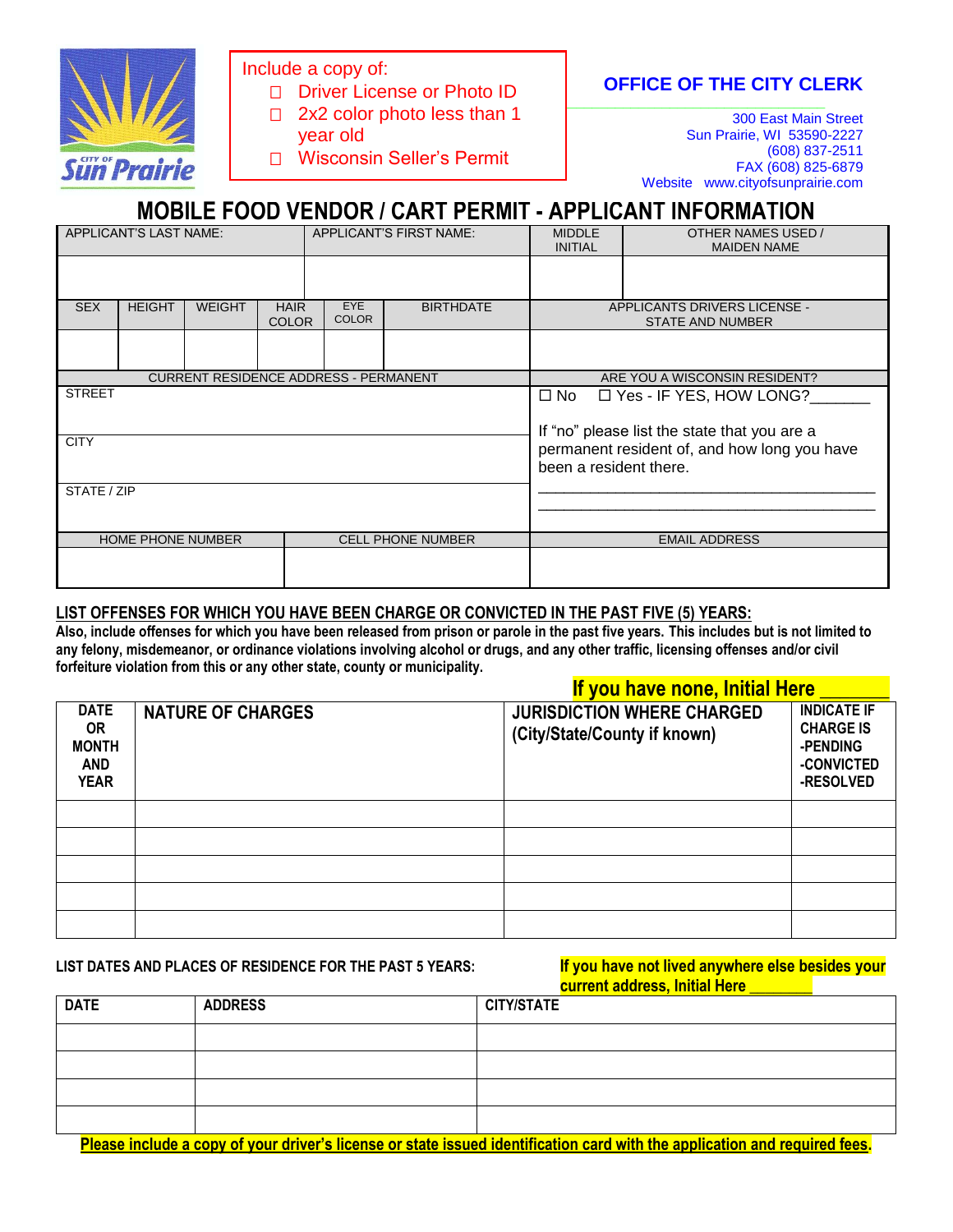

Include a copy of:

- $\Box$  2x2 color photo less than 1  $\Box$  2x2 color photo less than 1 D Driver License or Photo ID
- year old
- □ Wisconsin Seller's Permit

**OFFICE OF THE CITY CLERK** 

300 East Main Street Sun Prairie, WI 53590-2227 (608) 837-2511 FAX (608) 825-6879 Website www.cityofsunprairie.com

# **MOBILE FOOD VENDOR / CART PERMIT - APPLICANT INFORMATION**

| APPLICANT'S LAST NAME:       |               |               | APPLICANT'S FIRST NAME:     |                                              | <b>MIDDLE</b><br><b>INITIAL</b> | OTHER NAMES USED /<br><b>MAIDEN NAME</b> |                                                                                |
|------------------------------|---------------|---------------|-----------------------------|----------------------------------------------|---------------------------------|------------------------------------------|--------------------------------------------------------------------------------|
|                              |               |               |                             |                                              |                                 |                                          |                                                                                |
| <b>SEX</b>                   | <b>HEIGHT</b> | <b>WEIGHT</b> | <b>HAIR</b><br><b>COLOR</b> | EYE<br><b>COLOR</b>                          | <b>BIRTHDATE</b>                |                                          | <b>APPLICANTS DRIVERS LICENSE -</b><br><b>STATE AND NUMBER</b>                 |
|                              |               |               |                             |                                              |                                 |                                          |                                                                                |
|                              |               |               |                             | <b>CURRENT RESIDENCE ADDRESS - PERMANENT</b> |                                 |                                          | ARE YOU A WISCONSIN RESIDENT?                                                  |
| <b>STREET</b><br><b>CITY</b> |               |               |                             |                                              |                                 | $\square$ No                             | $\Box$ Yes - IF YES, HOW LONG?<br>If "no" please list the state that you are a |
|                              |               |               |                             |                                              |                                 | been a resident there.                   | permanent resident of, and how long you have                                   |
| STATE / ZIP                  |               |               |                             |                                              |                                 |                                          |                                                                                |
| <b>HOME PHONE NUMBER</b>     |               |               | <b>CELL PHONE NUMBER</b>    |                                              |                                 | <b>EMAIL ADDRESS</b>                     |                                                                                |
|                              |               |               |                             |                                              |                                 |                                          |                                                                                |

#### **LIST OFFENSES FOR WHICH YOU HAVE BEEN CHARGE OR CONVICTED IN THE PAST FIVE (5) YEARS:**

**Also, include offenses for which you have been released from prison or parole in the past five years. This includes but is not limited to any felony, misdemeanor, or ordinance violations involving alcohol or drugs, and any other traffic, licensing offenses and/or civil forfeiture violation from this or any other state, county or municipality.**

|                                                                       |                          | If you have none, Initial Here                                    |                                                                               |
|-----------------------------------------------------------------------|--------------------------|-------------------------------------------------------------------|-------------------------------------------------------------------------------|
| <b>DATE</b><br><b>OR</b><br><b>MONTH</b><br><b>AND</b><br><b>YEAR</b> | <b>NATURE OF CHARGES</b> | <b>JURISDICTION WHERE CHARGED</b><br>(City/State/County if known) | <b>INDICATE IF</b><br><b>CHARGE IS</b><br>-PENDING<br>-CONVICTED<br>-RESOLVED |
|                                                                       |                          |                                                                   |                                                                               |
|                                                                       |                          |                                                                   |                                                                               |
|                                                                       |                          |                                                                   |                                                                               |
|                                                                       |                          |                                                                   |                                                                               |
|                                                                       |                          |                                                                   |                                                                               |

## **LIST DATES AND PLACES OF RESIDENCE FOR THE PAST 5 YEARS:**

| If you have not lived anywhere else besides your |  |
|--------------------------------------------------|--|
| <b>current address, Initial Here</b>             |  |

|             |                | <u>carrent agaicss, initial ricre</u> |
|-------------|----------------|---------------------------------------|
| <b>DATE</b> | <b>ADDRESS</b> | <b>CITY/STATE</b>                     |
|             |                |                                       |
|             |                |                                       |
|             |                |                                       |
|             |                |                                       |

**Please include a copy of your driver's license or state issued identification card with the application and required fees.**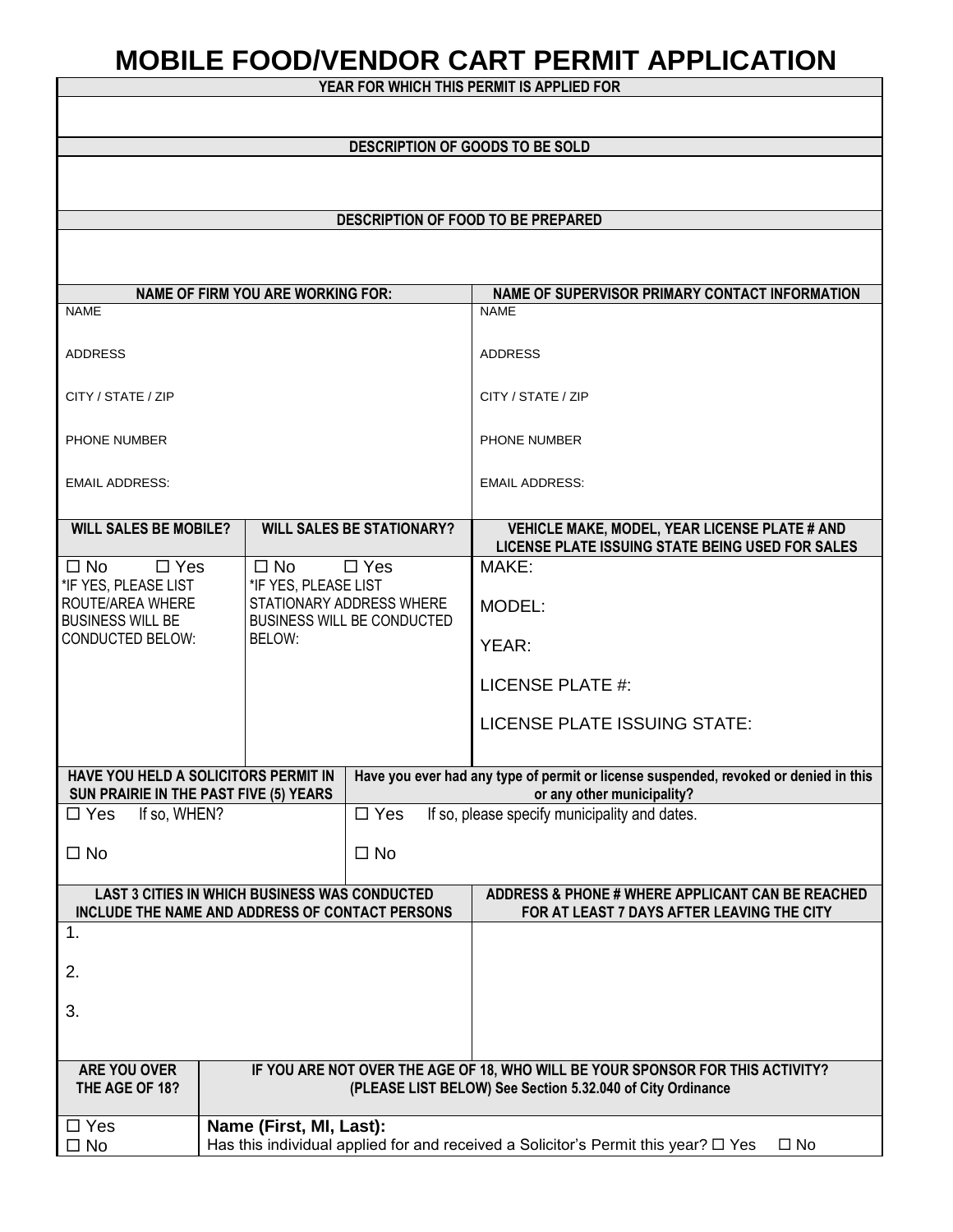# **MOBILE FOOD/VENDOR CART PERMIT APPLICATION**

**YEAR FOR WHICH THIS PERMIT IS APPLIED FOR**

|                                                                                                         | <b>DESCRIPTION OF GOODS TO BE SOLD</b>                                                |                                                                                                                                              |                                                                                                                    |  |  |
|---------------------------------------------------------------------------------------------------------|---------------------------------------------------------------------------------------|----------------------------------------------------------------------------------------------------------------------------------------------|--------------------------------------------------------------------------------------------------------------------|--|--|
|                                                                                                         |                                                                                       |                                                                                                                                              |                                                                                                                    |  |  |
|                                                                                                         |                                                                                       |                                                                                                                                              |                                                                                                                    |  |  |
|                                                                                                         |                                                                                       |                                                                                                                                              | DESCRIPTION OF FOOD TO BE PREPARED                                                                                 |  |  |
|                                                                                                         |                                                                                       |                                                                                                                                              |                                                                                                                    |  |  |
|                                                                                                         | <b>NAME OF FIRM YOU ARE WORKING FOR:</b>                                              |                                                                                                                                              | NAME OF SUPERVISOR PRIMARY CONTACT INFORMATION                                                                     |  |  |
| <b>NAME</b>                                                                                             |                                                                                       |                                                                                                                                              | <b>NAME</b>                                                                                                        |  |  |
| <b>ADDRESS</b>                                                                                          |                                                                                       |                                                                                                                                              | <b>ADDRESS</b>                                                                                                     |  |  |
| CITY / STATE / ZIP                                                                                      |                                                                                       |                                                                                                                                              | CITY / STATE / ZIP                                                                                                 |  |  |
| <b>PHONE NUMBER</b>                                                                                     |                                                                                       |                                                                                                                                              | PHONE NUMBER                                                                                                       |  |  |
| <b>EMAIL ADDRESS:</b>                                                                                   |                                                                                       |                                                                                                                                              | <b>EMAIL ADDRESS:</b>                                                                                              |  |  |
| <b>WILL SALES BE MOBILE?</b>                                                                            |                                                                                       | <b>WILL SALES BE STATIONARY?</b>                                                                                                             | VEHICLE MAKE, MODEL, YEAR LICENSE PLATE # AND                                                                      |  |  |
| $\Box$ Yes<br>$\square$ No                                                                              | $\Box$ No                                                                             | $\Box$ Yes                                                                                                                                   | LICENSE PLATE ISSUING STATE BEING USED FOR SALES<br>MAKE:                                                          |  |  |
| *IF YES, PLEASE LIST<br>ROUTE/AREA WHERE<br><b>BUSINESS WILL BE</b>                                     | *IF YES, PLEASE LIST<br>STATIONARY ADDRESS WHERE<br><b>BUSINESS WILL BE CONDUCTED</b> |                                                                                                                                              | MODEL:                                                                                                             |  |  |
| <b>CONDUCTED BELOW:</b>                                                                                 | BELOW:                                                                                |                                                                                                                                              | YEAR:                                                                                                              |  |  |
|                                                                                                         |                                                                                       |                                                                                                                                              | LICENSE PLATE #:                                                                                                   |  |  |
|                                                                                                         |                                                                                       |                                                                                                                                              | LICENSE PLATE ISSUING STATE:                                                                                       |  |  |
| HAVE YOU HELD A SOLICITORS PERMIT IN<br>SUN PRAIRIE IN THE PAST FIVE (5) YEARS                          |                                                                                       |                                                                                                                                              | Have you ever had any type of permit or license suspended, revoked or denied in this<br>or any other municipality? |  |  |
| $\square$ Yes<br>If so, WHEN?                                                                           |                                                                                       | $\Box$ Yes                                                                                                                                   | If so, please specify municipality and dates.                                                                      |  |  |
| $\square$ No<br>$\Box$ No                                                                               |                                                                                       |                                                                                                                                              |                                                                                                                    |  |  |
| <b>LAST 3 CITIES IN WHICH BUSINESS WAS CONDUCTED</b><br>INCLUDE THE NAME AND ADDRESS OF CONTACT PERSONS |                                                                                       |                                                                                                                                              | ADDRESS & PHONE # WHERE APPLICANT CAN BE REACHED<br>FOR AT LEAST 7 DAYS AFTER LEAVING THE CITY                     |  |  |
| 1.                                                                                                      |                                                                                       |                                                                                                                                              |                                                                                                                    |  |  |
| 2.                                                                                                      |                                                                                       |                                                                                                                                              |                                                                                                                    |  |  |
| 3.                                                                                                      |                                                                                       |                                                                                                                                              |                                                                                                                    |  |  |
|                                                                                                         |                                                                                       |                                                                                                                                              |                                                                                                                    |  |  |
| ARE YOU OVER<br>THE AGE OF 18?                                                                          |                                                                                       | IF YOU ARE NOT OVER THE AGE OF 18, WHO WILL BE YOUR SPONSOR FOR THIS ACTIVITY?<br>(PLEASE LIST BELOW) See Section 5.32.040 of City Ordinance |                                                                                                                    |  |  |
| $\square$ Yes                                                                                           | Name (First, MI, Last):                                                               |                                                                                                                                              |                                                                                                                    |  |  |
| $\square$ No                                                                                            |                                                                                       |                                                                                                                                              | Has this individual applied for and received a Solicitor's Permit this year? $\Box$ Yes<br>$\square$ No            |  |  |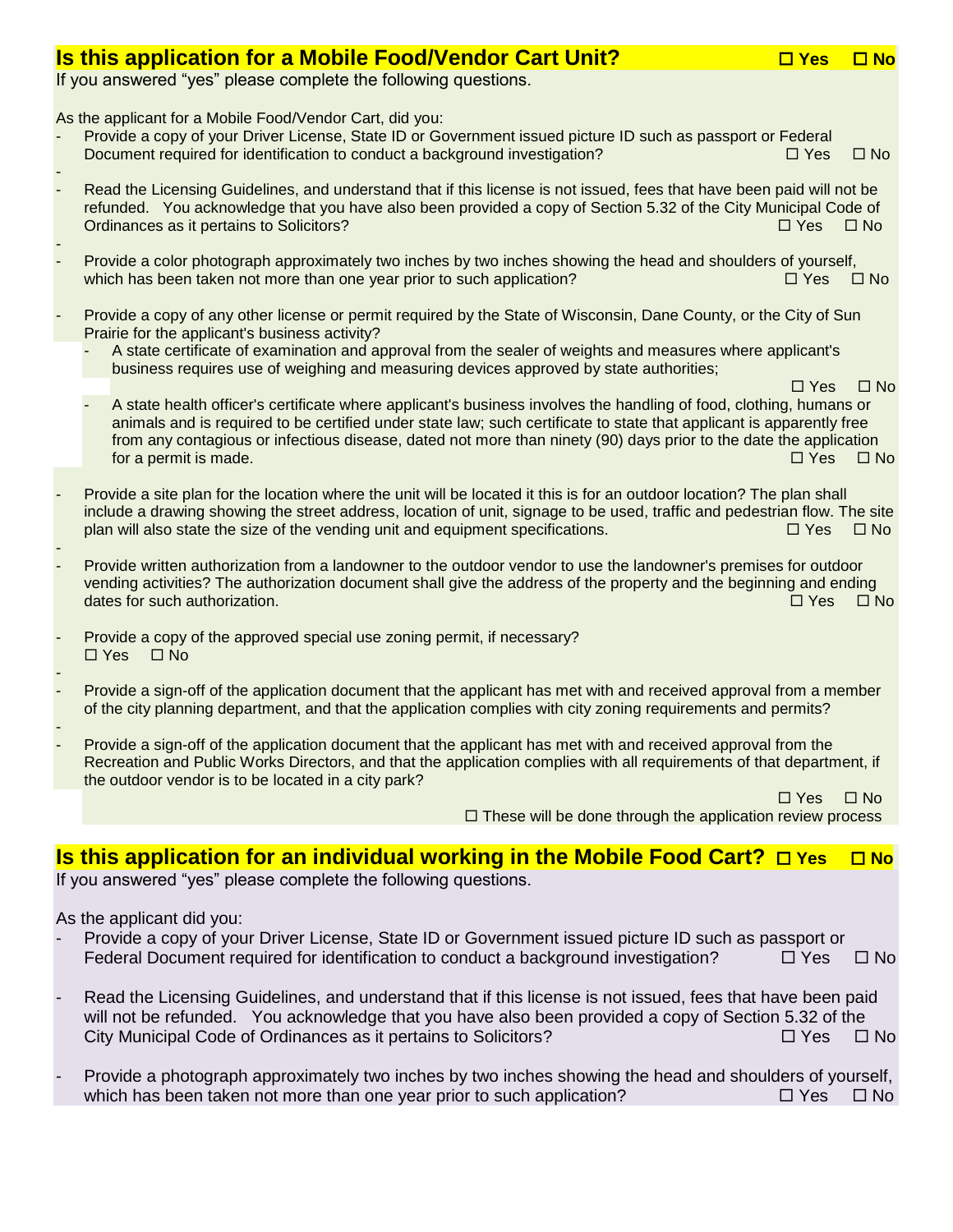## **Is this application for a Mobile Food/Vendor Cart Unit? Yes No**

If you answered "yes" please complete the following questions.

As the applicant for a Mobile Food/Vendor Cart, did you:

- Provide a copy of your Driver License, State ID or Government issued picture ID such as passport or Federal Document required for identification to conduct a background investigation?  $\square$  Yes  $\square$  No
- Read the Licensing Guidelines, and understand that if this license is not issued, fees that have been paid will not be refunded. You acknowledge that you have also been provided a copy of Section 5.32 of the City Municipal Code of Ordinances as it pertains to Solicitors?  $\Box$  Yes  $\Box$  No
- - Provide a color photograph approximately two inches by two inches showing the head and shoulders of yourself, which has been taken not more than one year prior to such application?  $\square$  Yes  $\square$  No
- Provide a copy of any other license or permit required by the State of Wisconsin, Dane County, or the City of Sun Prairie for the applicant's business activity?
	- A state certificate of examination and approval from the sealer of weights and measures where applicant's business requires use of weighing and measuring devices approved by state authorities;

 $\Box$  Yes  $\Box$  No

- A state health officer's certificate where applicant's business involves the handling of food, clothing, humans or animals and is required to be certified under state law; such certificate to state that applicant is apparently free from any contagious or infectious disease, dated not more than ninety (90) days prior to the date the application for a permit is made.  $\Box$  Yes  $\Box$  No.
- Provide a site plan for the location where the unit will be located it this is for an outdoor location? The plan shall include a drawing showing the street address, location of unit, signage to be used, traffic and pedestrian flow. The site plan will also state the size of the vending unit and equipment specifications.  $\Box$  Yes  $\Box$  No
- Provide written authorization from a landowner to the outdoor vendor to use the landowner's premises for outdoor vending activities? The authorization document shall give the address of the property and the beginning and ending dates for such authorization.  $\Box$  Yes  $\Box$  No
- Provide a copy of the approved special use zoning permit, if necessary?  $\Box$  Yes  $\Box$  No
- Provide a sign-off of the application document that the applicant has met with and received approval from a member of the city planning department, and that the application complies with city zoning requirements and permits?
- Provide a sign-off of the application document that the applicant has met with and received approval from the Recreation and Public Works Directors, and that the application complies with all requirements of that department, if the outdoor vendor is to be located in a city park?

Yes No was a statement of the statement of the statement of the statement of the No was a Di Yes Di No  $\Box$  These will be done through the application review process

## **Is this application for an individual working in the Mobile Food Cart?**  $\Box$  Yes  $\Box$  No

If you answered "yes" please complete the following questions.

As the applicant did you:

- Provide a copy of your Driver License, State ID or Government issued picture ID such as passport or Federal Document required for identification to conduct a background investigation?  $\square$  Yes  $\square$  No
- Read the Licensing Guidelines, and understand that if this license is not issued, fees that have been paid will not be refunded. You acknowledge that you have also been provided a copy of Section 5.32 of the City Municipal Code of Ordinances as it pertains to Solicitors?  $\square$  Yes  $\square$  No
- Provide a photograph approximately two inches by two inches showing the head and shoulders of yourself, which has been taken not more than one year prior to such application?  $\square$  Yes  $\square$  No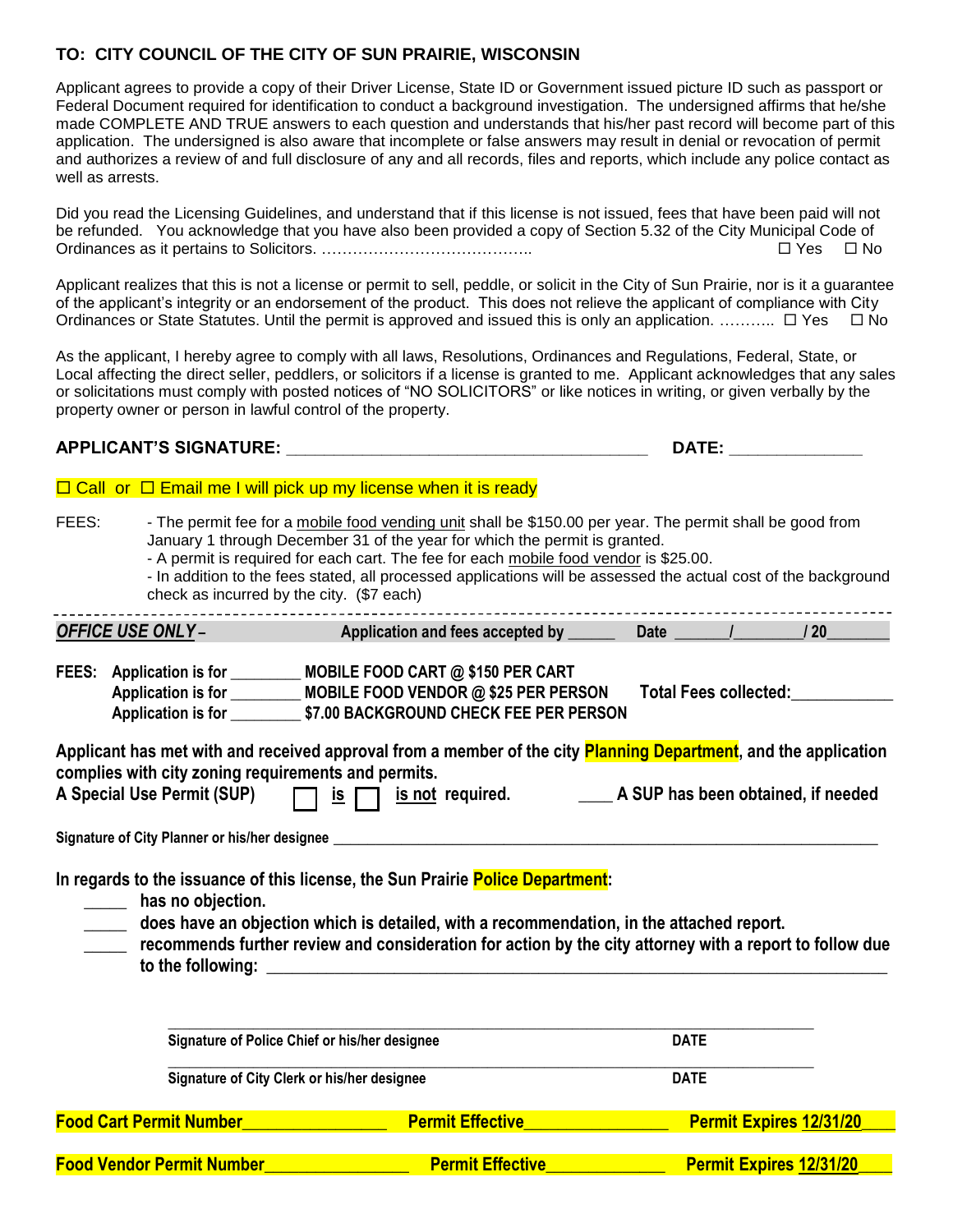## **TO: CITY COUNCIL OF THE CITY OF SUN PRAIRIE, WISCONSIN**

Applicant agrees to provide a copy of their Driver License, State ID or Government issued picture ID such as passport or Federal Document required for identification to conduct a background investigation. The undersigned affirms that he/she made COMPLETE AND TRUE answers to each question and understands that his/her past record will become part of this application. The undersigned is also aware that incomplete or false answers may result in denial or revocation of permit and authorizes a review of and full disclosure of any and all records, files and reports, which include any police contact as well as arrests.

Did you read the Licensing Guidelines, and understand that if this license is not issued, fees that have been paid will not be refunded. You acknowledge that you have also been provided a copy of Section 5.32 of the City Municipal Code of Ordinances as it pertains to Solicitors. ………………………………….. Yes No

Applicant realizes that this is not a license or permit to sell, peddle, or solicit in the City of Sun Prairie, nor is it a guarantee of the applicant's integrity or an endorsement of the product. This does not relieve the applicant of compliance with City Ordinances or State Statutes. Until the permit is approved and issued this is only an application. ……….  $\Box$  Yes  $\Box$  No

As the applicant, I hereby agree to comply with all laws, Resolutions, Ordinances and Regulations, Federal, State, or Local affecting the direct seller, peddlers, or solicitors if a license is granted to me. Applicant acknowledges that any sales or solicitations must comply with posted notices of "NO SOLICITORS" or like notices in writing, or given verbally by the property owner or person in lawful control of the property.

## **APPLICANT'S SIGNATURE: \_\_\_\_\_\_\_\_\_\_\_\_\_\_\_\_\_\_\_\_\_\_\_\_\_\_\_\_\_\_\_\_\_\_\_\_\_\_ DATE: \_\_\_\_\_\_\_\_\_\_\_\_\_\_**

## $\Box$  Call or  $\Box$  Email me I will pick up my license when it is ready

- FEES: The permit fee for a mobile food vending unit shall be \$150.00 per year. The permit shall be good from January 1 through December 31 of the year for which the permit is granted.
	- A permit is required for each cart. The fee for each mobile food vendor is \$25.00.

- In addition to the fees stated, all processed applications will be assessed the actual cost of the background check as incurred by the city. (\$7 each) 

| <b>OFFICE USE ONLY-</b>                             | Application and fees accepted by ______                                                                                                                                                                            | Date /<br>120                                                                                                   |  |
|-----------------------------------------------------|--------------------------------------------------------------------------------------------------------------------------------------------------------------------------------------------------------------------|-----------------------------------------------------------------------------------------------------------------|--|
|                                                     | FEES: Application is for _________ MOBILE FOOD CART @ \$150 PER CART<br>Application is for _________ MOBILE FOOD VENDOR @ \$25 PER PERSON<br>Application is for ___________ \$7.00 BACKGROUND CHECK FEE PER PERSON | Total Fees collected: Total Fees                                                                                |  |
| complies with city zoning requirements and permits. |                                                                                                                                                                                                                    | Applicant has met with and received approval from a member of the city Planning Department, and the application |  |
|                                                     |                                                                                                                                                                                                                    | A Special Use Permit (SUP) $\Box$ is $\Box$ is not required. A SUP has been obtained, if needed                 |  |
|                                                     | Signature of City Planner or his/her designee __________________________________                                                                                                                                   |                                                                                                                 |  |
| has no objection.<br>$\mathcal{L}_{\text{max}}$     | In regards to the issuance of this license, the Sun Prairie Police Department:<br>does have an objection which is detailed, with a recommendation, in the attached report.<br>to the following: to the following:  | recommends further review and consideration for action by the city attorney with a report to follow due         |  |
|                                                     |                                                                                                                                                                                                                    |                                                                                                                 |  |
|                                                     | Signature of Police Chief or his/her designee                                                                                                                                                                      | <b>DATE</b>                                                                                                     |  |
|                                                     | Signature of City Clerk or his/her designee                                                                                                                                                                        | <b>DATE</b>                                                                                                     |  |

**Food Cart Permit Number\_\_\_\_\_\_\_\_\_\_\_\_\_\_\_\_\_ Permit Effective\_\_\_\_\_\_\_\_\_\_\_\_\_\_\_\_\_ Permit Expires 12/31/20**\_\_\_\_

**Food Vendor Permit Number\_\_\_\_\_\_\_\_\_\_\_\_\_\_\_\_\_ Permit Effective\_\_\_\_\_\_\_\_\_\_\_\_\_\_ Permit Expires 12/31/20**\_\_\_\_